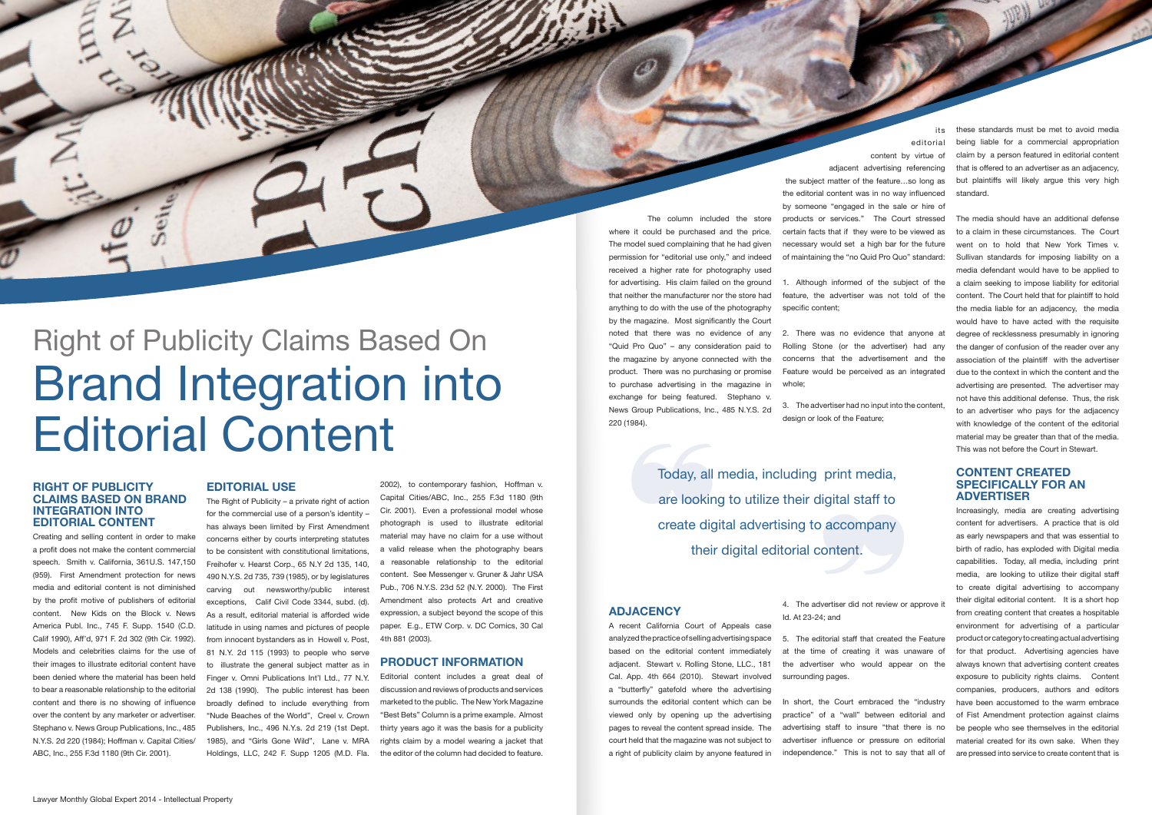The column included the store where it could be purchased and the price. The model sued complaining that he had given permission for "editorial use only," and indeed received a higher rate for photography used for advertising. His claim failed on the ground that neither the manufacturer nor the store had anything to do with the use of the photography by the magazine. Most significantly the Court noted that there was no evidence of any "Quid Pro Quo" – any consideration paid to the magazine by anyone connected with the product. There was no purchasing or promise to purchase advertising in the magazine in exchange for being featured. Stephano v. News Group Publications, Inc., 485 N.Y.S. 2d

220 (1984).

Birth R

## **ADJACENCY**

A recent California Court of Appeals case analyzed the practice of selling advertising space based on the editorial content immediately adjacent. Stewart v. Rolling Stone, LLC., 181 Cal. App. 4th 664 (2010). Stewart involved a "butterfly" gatefold where the advertising surrounds the editorial content which can be viewed only by opening up the advertising pages to reveal the content spread inside. The court held that the magazine was not subject to a right of publicity claim by anyone featured in

## **RIGHT OF PUBLICITY CLAIMS BASED ON BRAND INTEGRATION INTO EDITORIAL CONTENT**

Creating and selling content in order to make a profit does not make the content commercial speech. Smith v. California, 361U.S. 147,150 (959). First Amendment protection for news media and editorial content is not diminished by the profit motive of publishers of editorial content. New Kids on the Block v. News America Publ. Inc., 745 F. Supp. 1540 (C.D. Calif 1990), Aff'd, 971 F. 2d 302 (9th Cir. 1992). Models and celebrities claims for the use of their images to illustrate editorial content have been denied where the material has been held to bear a reasonable relationship to the editorial content and there is no showing of influence over the content by any marketer or advertiser. Stephano v. News Group Publications, Inc., 485 N.Y.S. 2d 220 (1984); Hoffman v. Capital Cities/ ABC, Inc., 255 F.3d 1180 (9th Cir. 2001).

## **EDITORIAL USE**

3. The advertiser had no input into the content, design or look of the Feature:

The Right of Publicity – a private right of action for the commercial use of a person's identity – has always been limited by First Amendment concerns either by courts interpreting statutes to be consistent with constitutional limitations, Freihofer v. Hearst Corp., 65 N.Y 2d 135, 140, 490 N.Y.S. 2d 735, 739 (1985), or by legislatures carving out newsworthy/public interest exceptions, Calif Civil Code 3344, subd. (d). As a result, editorial material is afforded wide latitude in using names and pictures of people from innocent bystanders as in Howell v. Post, 81 N.Y. 2d 115 (1993) to people who serve to illustrate the general subject matter as in Finger v. Omni Publications Int'l Ltd., 77 N.Y. 2d 138 (1990). The public interest has been broadly defined to include everything from "Nude Beaches of the World", Creel v. Crown Publishers, Inc., 496 N.Y.s. 2d 219 (1st Dept. 1985), and "Girls Gone Wild", Lane v. MRA Holdings, LLC, 242 F. Supp 1205 (M.D. Fla.

2002), to contemporary fashion, Hoffman v. Capital Cities/ABC, Inc., 255 F.3d 1180 (9th Cir. 2001). Even a professional model whose photograph is used to illustrate editorial material may have no claim for a use without a valid release when the photography bears a reasonable relationship to the editorial content. See Messenger v. Gruner & Jahr USA Pub., 706 N.Y.S. 23d 52 (N.Y. 2000). The First Amendment also protects Art and creative expression, a subject beyond the scope of this paper. E.g., ETW Corp. v. DC Comics, 30 Cal 4th 881 (2003).

# **PRODUCT INFORMATION**

Today, all<br>are lookin<br>create dig<br>their Today, all media, including print media, are looking to utilize their digital staff to are looking to utilize their digital staff to<br>create digital advertising to accompany<br>their digital editorial content. their digital editorial content.

Editorial content includes a great deal of discussion and reviews of products and services marketed to the public. The New York Magazine "Best Bets" Column is a prime example. Almost thirty years ago it was the basis for a publicity rights claim by a model wearing a jacket that the editor of the column had decided to feature.

its

#### editorial

content by virtue of adjacent advertising referencing the subject matter of the feature…so long as the editorial content was in no way influenced by someone "engaged in the sale or hire of products or services." The Court stressed certain facts that if they were to be viewed as necessary would set a high bar for the future of maintaining the "no Quid Pro Quo" standard:

1. Although informed of the subject of the feature, the advertiser was not told of the specific content;

2. There was no evidence that anyone at Rolling Stone (or the advertiser) had any concerns that the advertisement and the Feature would be perceived as an integrated whole;

4. The advertiser did not review or approve it Id. At 23-24; and

5. The editorial staff that created the Feature at the time of creating it was unaware of the advertiser who would appear on the surrounding pages.

In short, the Court embraced the "industry practice" of a "wall" between editorial and advertising staff to insure "that there is no advertiser influence or pressure on editorial independence." This is not to say that all of

# Right of Publicity Claims Based On Brand Integration into Editorial Content

these standards must be met to avoid media being liable for a commercial appropriation claim by a person featured in editorial content that is offered to an advertiser as an adjacency, but plaintiffs will likely argue this very high standard.

The media should have an additional defense to a claim in these circumstances. The Court went on to hold that New York Times v. Sullivan standards for imposing liability on a media defendant would have to be applied to a claim seeking to impose liability for editorial content. The Court held that for plaintiff to hold the media liable for an adjacency, the media would have to have acted with the requisite degree of recklessness presumably in ignoring the danger of confusion of the reader over any association of the plaintiff with the advertiser due to the context in which the content and the advertising are presented. The advertiser may not have this additional defense. Thus, the risk to an advertiser who pays for the adjacency with knowledge of the content of the editorial material may be greater than that of the media. This was not before the Court in Stewart.

## **CONTENT CREATED SPECIFICALLY FOR AN ADVERTISER**

Increasingly, media are creating advertising content for advertisers. A practice that is old as early newspapers and that was essential to birth of radio, has exploded with Digital media capabilities. Today, all media, including print media, are looking to utilize their digital staff to create digital advertising to accompany their digital editorial content. It is a short hop from creating content that creates a hospitable environment for advertising of a particular product or category to creating actual advertising for that product. Advertising agencies have always known that advertising content creates exposure to publicity rights claims. Content companies, producers, authors and editors have been accustomed to the warm embrace of Fist Amendment protection against claims be people who see themselves in the editorial material created for its own sake. When they are pressed into service to create content that is